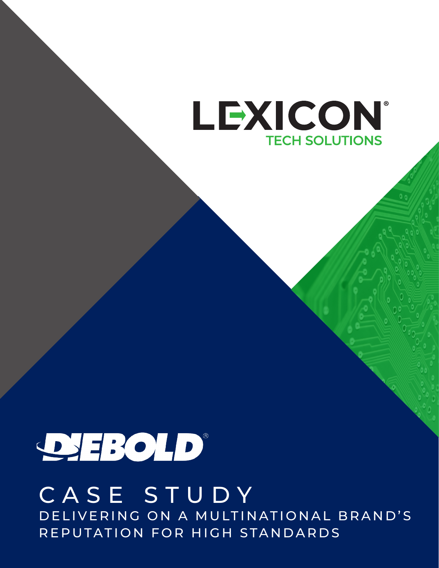

# DEBOLD

# CASE STUDY DELIVERING ON A MULTINATIONAL BRAND'S REPUTATION FOR HIGH STANDARDS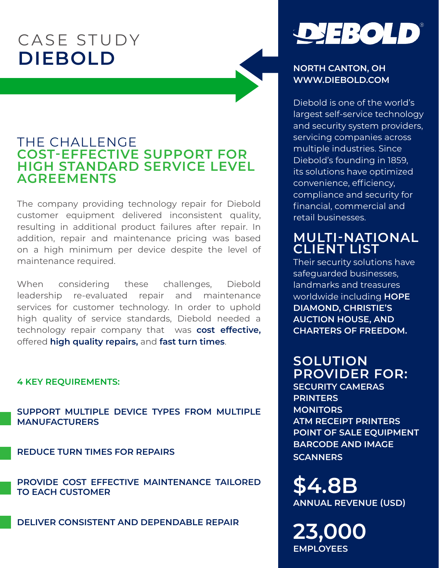# CASE STUDY **DIEBOLD**

## THE CHALLENGE **COST-EFFECTIVE SUPPORT FOR HIGH STANDARD SERVICE LEVEL AGREEMENTS**

The company providing technology repair for Diebold customer equipment delivered inconsistent quality, resulting in additional product failures after repair. In addition, repair and maintenance pricing was based on a high minimum per device despite the level of maintenance required.

When considering these challenges, Diebold leadership re-evaluated repair and maintenance services for customer technology. In order to uphold high quality of service standards, Diebold needed a technology repair company that was **cost effective,** offered **high quality repairs,** and **fast turn times**.

#### **4 KEY REQUIREMENTS:**

**SUPPORT MULTIPLE DEVICE TYPES FROM MULTIPLE MANUFACTURERS**

**REDUCE TURN TIMES FOR REPAIRS**

**PROVIDE COST EFFECTIVE MAINTENANCE TAILORED TO EACH CUSTOMER**

**DELIVER CONSISTENT AND DEPENDABLE REPAIR**



#### **NORTH CANTON, OH WWW.DIEBOLD.COM**

Diebold is one of the world's largest self-service technology and security system providers, servicing companies across multiple industries. Since Diebold's founding in 1859, its solutions have optimized convenience, efficiency, compliance and security for financial, commercial and retail businesses.

## **MULTI-NATIONAL CLIENT LIST**

Their security solutions have safeguarded businesses, landmarks and treasures worldwide including **HOPE DIAMOND, CHRISTIE'S AUCTION HOUSE, AND CHARTERS OF FREEDOM.**

# **SOLUTION PROVIDER FOR:**

**SECURITY CAMERAS PRINTERS MONITORS ATM RECEIPT PRINTERS POINT OF SALE EQUIPMENT BARCODE AND IMAGE SCANNERS**

**\$4.8B ANNUAL REVENUE (USD)**

**23,000 EMPLOYEES**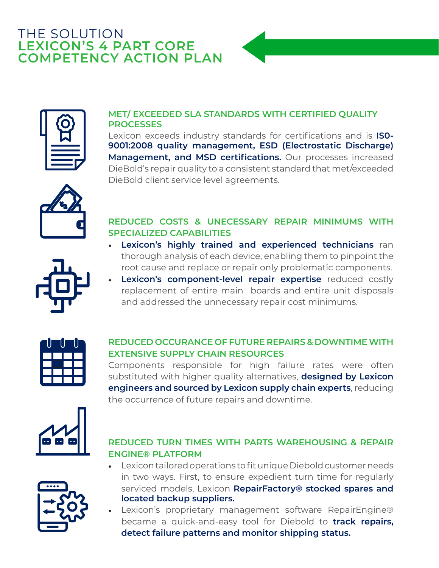# THE SOLUTION **LEXICON'S 4 PART CORE COMPETENCY ACTION PLAN**



### **MET/ EXCEEDED SLA STANDARDS WITH CERTIFIED QUALITY PROCESSES**

Lexicon exceeds industry standards for certifications and is **IS0- 9001:2008 quality management, ESD (Electrostatic Discharge) Management, and MSD certifications.** Our processes increased DieBold's repair quality to a consistent standard that met/exceeded DieBold client service level agreements.



### **REDUCED COSTS & UNECESSARY REPAIR MINIMUMS WITH SPECIALIZED CAPABILITIES**

- **Lexicon's highly trained and experienced technicians** ran thorough analysis of each device, enabling them to pinpoint the root cause and replace or repair only problematic components.
- **Lexicon's component-level repair expertise** reduced costly replacement of entire main boards and entire unit disposals and addressed the unnecessary repair cost minimums.



### **REDUCED OCCURANCE OF FUTURE REPAIRS & DOWNTIME WITH EXTENSIVE SUPPLY CHAIN RESOURCES**

Components responsible for high failure rates were often substituted with higher quality alternatives, **designed by Lexicon engineers and sourced by Lexicon supply chain experts**, reducing the occurrence of future repairs and downtime.



### **REDUCED TURN TIMES WITH PARTS WAREHOUSING & REPAIR ENGINE® PLATFORM**



- Lexicon tailored operations to fit unique Diebold customer needs in two ways. First, to ensure expedient turn time for regularly serviced models, Lexicon **RepairFactory® stocked spares and located backup suppliers.**
- Lexicon's proprietary management software RepairEngine® became a quick-and-easy tool for Diebold to **track repairs, detect failure patterns and monitor shipping status.**